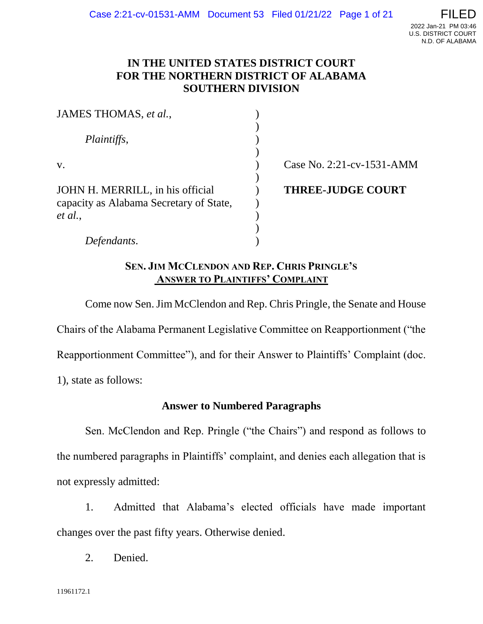# **IN THE UNITED STATES DISTRICT COURT FOR THE NORTHERN DISTRICT OF ALABAMA SOUTHERN DIVISION**

| JAMES THOMAS, et al.,                   |                           |
|-----------------------------------------|---------------------------|
|                                         |                           |
| <i>Plaintiffs,</i>                      |                           |
|                                         |                           |
| $V_{\rm A}$                             | Case No. 2:21-cv-1531-AMM |
|                                         |                           |
| JOHN H. MERRILL, in his official        | <b>THREE-JUDGE COURT</b>  |
| capacity as Alabama Secretary of State, |                           |
| et al.,                                 |                           |
|                                         |                           |
| Defendants.                             |                           |

# **SEN. JIM MCCLENDON AND REP. CHRIS PRINGLE'S ANSWER TO PLAINTIFFS' COMPLAINT**

Come now Sen. Jim McClendon and Rep. Chris Pringle, the Senate and House Chairs of the Alabama Permanent Legislative Committee on Reapportionment ("the Reapportionment Committee"), and for their Answer to Plaintiffs' Complaint (doc. 1), state as follows:

# **Answer to Numbered Paragraphs**

Sen. McClendon and Rep. Pringle ("the Chairs") and respond as follows to the numbered paragraphs in Plaintiffs' complaint, and denies each allegation that is not expressly admitted:

1. Admitted that Alabama's elected officials have made important changes over the past fifty years. Otherwise denied.

2. Denied.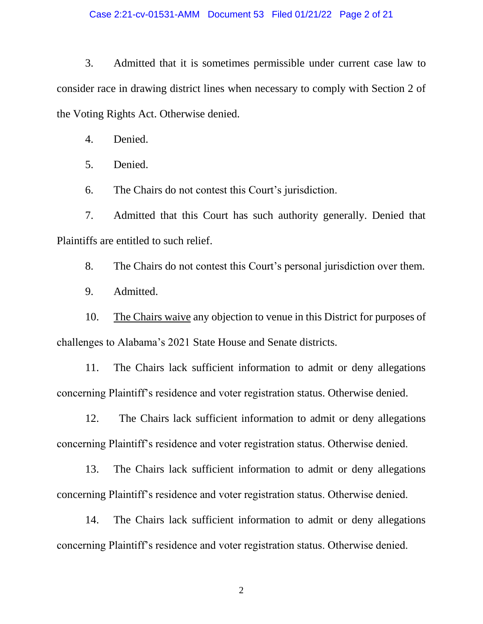3. Admitted that it is sometimes permissible under current case law to consider race in drawing district lines when necessary to comply with Section 2 of the Voting Rights Act. Otherwise denied.

4. Denied.

5. Denied.

6. The Chairs do not contest this Court's jurisdiction.

7. Admitted that this Court has such authority generally. Denied that Plaintiffs are entitled to such relief.

8. The Chairs do not contest this Court's personal jurisdiction over them.

9. Admitted.

10. The Chairs waive any objection to venue in this District for purposes of challenges to Alabama's 2021 State House and Senate districts.

11. The Chairs lack sufficient information to admit or deny allegations concerning Plaintiff's residence and voter registration status. Otherwise denied.

12. The Chairs lack sufficient information to admit or deny allegations concerning Plaintiff's residence and voter registration status. Otherwise denied.

13. The Chairs lack sufficient information to admit or deny allegations concerning Plaintiff's residence and voter registration status. Otherwise denied.

14. The Chairs lack sufficient information to admit or deny allegations concerning Plaintiff's residence and voter registration status. Otherwise denied.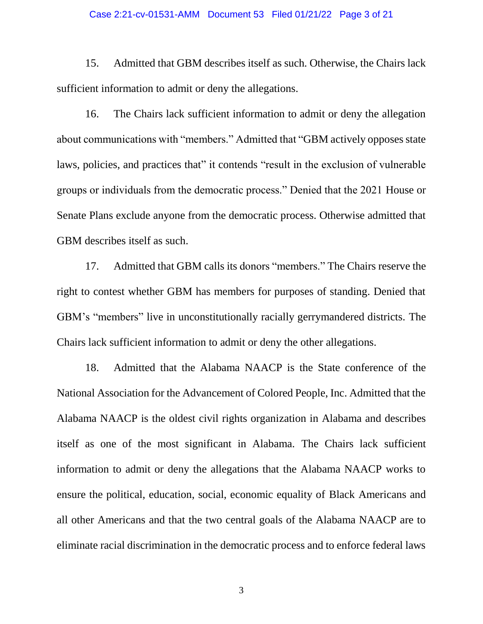#### Case 2:21-cv-01531-AMM Document 53 Filed 01/21/22 Page 3 of 21

15. Admitted that GBM describes itself as such. Otherwise, the Chairs lack sufficient information to admit or deny the allegations.

16. The Chairs lack sufficient information to admit or deny the allegation about communications with "members." Admitted that "GBM actively opposes state laws, policies, and practices that" it contends "result in the exclusion of vulnerable groups or individuals from the democratic process." Denied that the 2021 House or Senate Plans exclude anyone from the democratic process. Otherwise admitted that GBM describes itself as such.

17. Admitted that GBM calls its donors "members." The Chairs reserve the right to contest whether GBM has members for purposes of standing. Denied that GBM's "members" live in unconstitutionally racially gerrymandered districts. The Chairs lack sufficient information to admit or deny the other allegations.

18. Admitted that the Alabama NAACP is the State conference of the National Association for the Advancement of Colored People, Inc. Admitted that the Alabama NAACP is the oldest civil rights organization in Alabama and describes itself as one of the most significant in Alabama. The Chairs lack sufficient information to admit or deny the allegations that the Alabama NAACP works to ensure the political, education, social, economic equality of Black Americans and all other Americans and that the two central goals of the Alabama NAACP are to eliminate racial discrimination in the democratic process and to enforce federal laws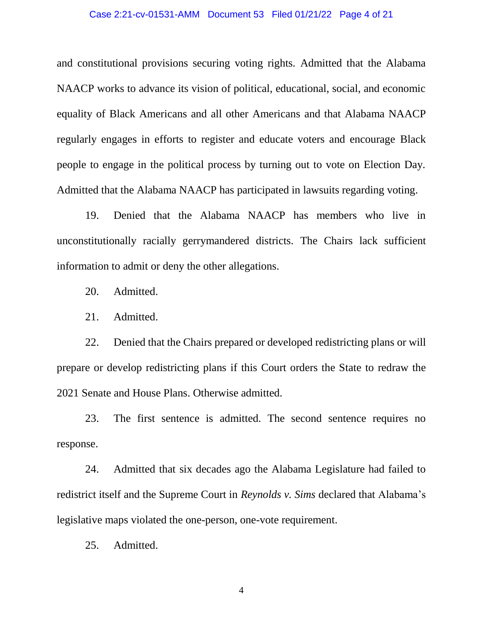#### Case 2:21-cv-01531-AMM Document 53 Filed 01/21/22 Page 4 of 21

and constitutional provisions securing voting rights. Admitted that the Alabama NAACP works to advance its vision of political, educational, social, and economic equality of Black Americans and all other Americans and that Alabama NAACP regularly engages in efforts to register and educate voters and encourage Black people to engage in the political process by turning out to vote on Election Day. Admitted that the Alabama NAACP has participated in lawsuits regarding voting.

19. Denied that the Alabama NAACP has members who live in unconstitutionally racially gerrymandered districts. The Chairs lack sufficient information to admit or deny the other allegations.

- 20. Admitted.
- 21. Admitted.

22. Denied that the Chairs prepared or developed redistricting plans or will prepare or develop redistricting plans if this Court orders the State to redraw the 2021 Senate and House Plans. Otherwise admitted.

23. The first sentence is admitted. The second sentence requires no response.

24. Admitted that six decades ago the Alabama Legislature had failed to redistrict itself and the Supreme Court in *Reynolds v. Sims* declared that Alabama's legislative maps violated the one-person, one-vote requirement.

25. Admitted.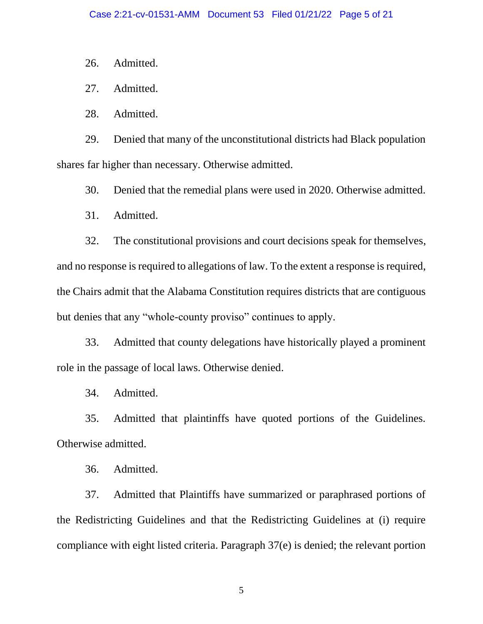26. Admitted.

27. Admitted.

28. Admitted.

29. Denied that many of the unconstitutional districts had Black population shares far higher than necessary. Otherwise admitted.

30. Denied that the remedial plans were used in 2020. Otherwise admitted.

31. Admitted.

32. The constitutional provisions and court decisions speak for themselves, and no response is required to allegations of law. To the extent a response is required, the Chairs admit that the Alabama Constitution requires districts that are contiguous but denies that any "whole-county proviso" continues to apply.

33. Admitted that county delegations have historically played a prominent role in the passage of local laws. Otherwise denied.

34. Admitted.

35. Admitted that plaintinffs have quoted portions of the Guidelines. Otherwise admitted.

36. Admitted.

37. Admitted that Plaintiffs have summarized or paraphrased portions of the Redistricting Guidelines and that the Redistricting Guidelines at (i) require compliance with eight listed criteria. Paragraph 37(e) is denied; the relevant portion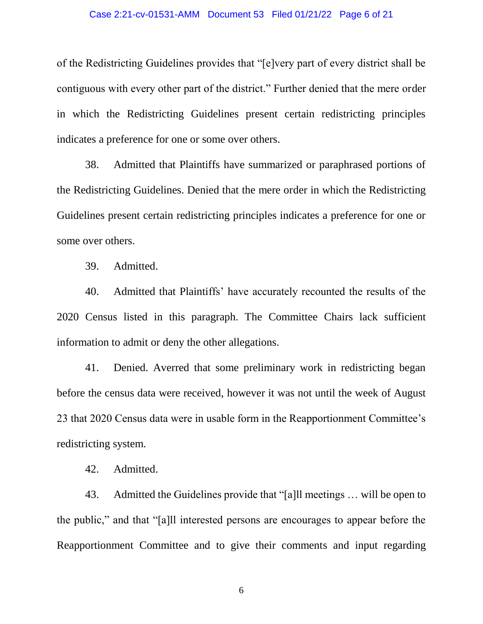#### Case 2:21-cv-01531-AMM Document 53 Filed 01/21/22 Page 6 of 21

of the Redistricting Guidelines provides that "[e]very part of every district shall be contiguous with every other part of the district." Further denied that the mere order in which the Redistricting Guidelines present certain redistricting principles indicates a preference for one or some over others.

38. Admitted that Plaintiffs have summarized or paraphrased portions of the Redistricting Guidelines. Denied that the mere order in which the Redistricting Guidelines present certain redistricting principles indicates a preference for one or some over others.

39. Admitted.

40. Admitted that Plaintiffs' have accurately recounted the results of the 2020 Census listed in this paragraph. The Committee Chairs lack sufficient information to admit or deny the other allegations.

41. Denied. Averred that some preliminary work in redistricting began before the census data were received, however it was not until the week of August 23 that 2020 Census data were in usable form in the Reapportionment Committee's redistricting system.

42. Admitted.

43. Admitted the Guidelines provide that "[a]ll meetings … will be open to the public," and that "[a]ll interested persons are encourages to appear before the Reapportionment Committee and to give their comments and input regarding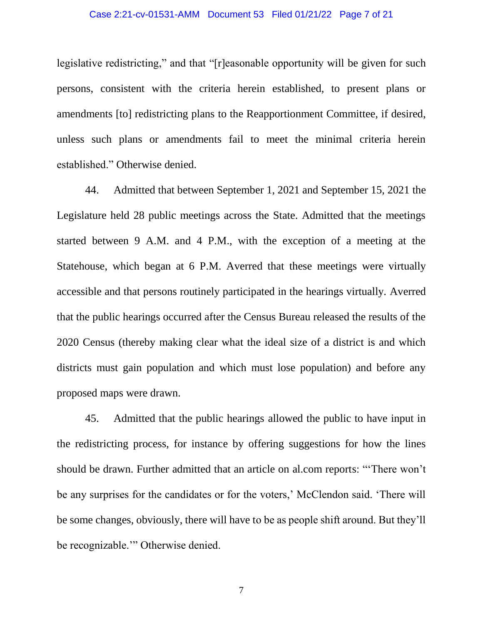#### Case 2:21-cv-01531-AMM Document 53 Filed 01/21/22 Page 7 of 21

legislative redistricting," and that "[r]easonable opportunity will be given for such persons, consistent with the criteria herein established, to present plans or amendments [to] redistricting plans to the Reapportionment Committee, if desired, unless such plans or amendments fail to meet the minimal criteria herein established." Otherwise denied.

44. Admitted that between September 1, 2021 and September 15, 2021 the Legislature held 28 public meetings across the State. Admitted that the meetings started between 9 A.M. and 4 P.M., with the exception of a meeting at the Statehouse, which began at 6 P.M. Averred that these meetings were virtually accessible and that persons routinely participated in the hearings virtually. Averred that the public hearings occurred after the Census Bureau released the results of the 2020 Census (thereby making clear what the ideal size of a district is and which districts must gain population and which must lose population) and before any proposed maps were drawn.

45. Admitted that the public hearings allowed the public to have input in the redistricting process, for instance by offering suggestions for how the lines should be drawn. Further admitted that an article on al.com reports: "'There won't be any surprises for the candidates or for the voters,' McClendon said. 'There will be some changes, obviously, there will have to be as people shift around. But they'll be recognizable.'" Otherwise denied.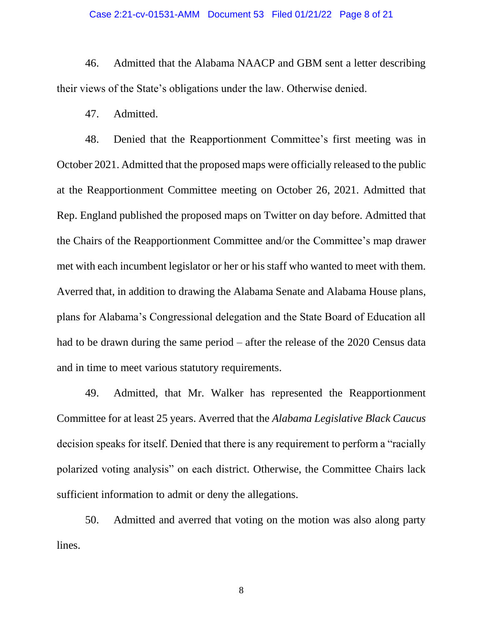#### Case 2:21-cv-01531-AMM Document 53 Filed 01/21/22 Page 8 of 21

46. Admitted that the Alabama NAACP and GBM sent a letter describing their views of the State's obligations under the law. Otherwise denied.

47. Admitted.

48. Denied that the Reapportionment Committee's first meeting was in October 2021. Admitted that the proposed maps were officially released to the public at the Reapportionment Committee meeting on October 26, 2021. Admitted that Rep. England published the proposed maps on Twitter on day before. Admitted that the Chairs of the Reapportionment Committee and/or the Committee's map drawer met with each incumbent legislator or her or his staff who wanted to meet with them. Averred that, in addition to drawing the Alabama Senate and Alabama House plans, plans for Alabama's Congressional delegation and the State Board of Education all had to be drawn during the same period – after the release of the 2020 Census data and in time to meet various statutory requirements.

49. Admitted, that Mr. Walker has represented the Reapportionment Committee for at least 25 years. Averred that the *Alabama Legislative Black Caucus*  decision speaks for itself. Denied that there is any requirement to perform a "racially polarized voting analysis" on each district. Otherwise, the Committee Chairs lack sufficient information to admit or deny the allegations.

50. Admitted and averred that voting on the motion was also along party lines.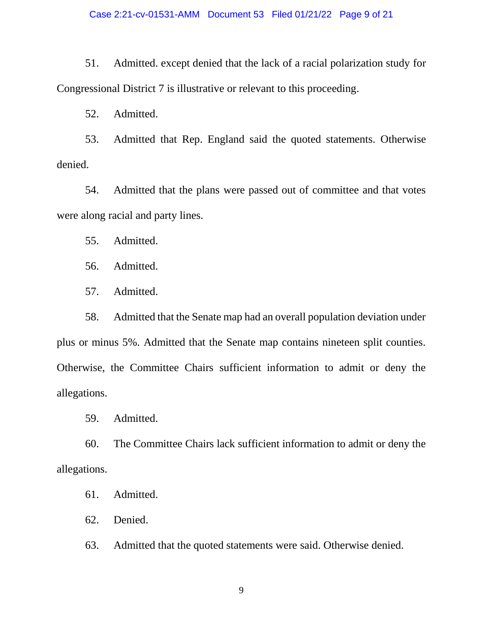## Case 2:21-cv-01531-AMM Document 53 Filed 01/21/22 Page 9 of 21

51. Admitted. except denied that the lack of a racial polarization study for Congressional District 7 is illustrative or relevant to this proceeding.

52. Admitted.

53. Admitted that Rep. England said the quoted statements. Otherwise denied.

54. Admitted that the plans were passed out of committee and that votes were along racial and party lines.

55. Admitted.

56. Admitted.

57. Admitted.

58. Admitted that the Senate map had an overall population deviation under plus or minus 5%. Admitted that the Senate map contains nineteen split counties. Otherwise, the Committee Chairs sufficient information to admit or deny the allegations.

59. Admitted.

60. The Committee Chairs lack sufficient information to admit or deny the allegations.

61. Admitted.

62. Denied.

63. Admitted that the quoted statements were said. Otherwise denied.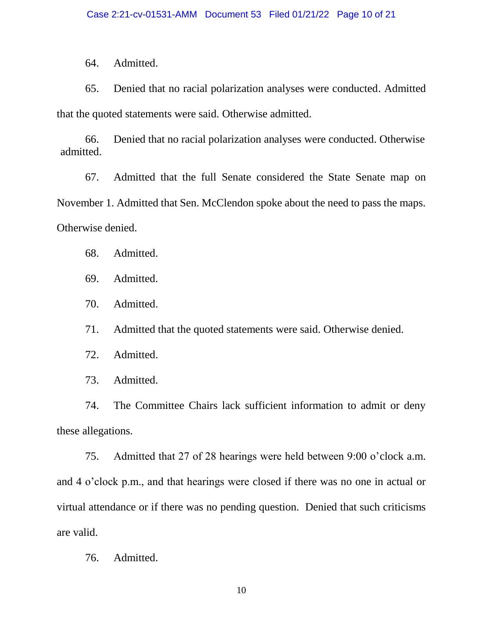64. Admitted.

65. Denied that no racial polarization analyses were conducted. Admitted that the quoted statements were said. Otherwise admitted.

66. Denied that no racial polarization analyses were conducted. Otherwise admitted.

67. Admitted that the full Senate considered the State Senate map on November 1. Admitted that Sen. McClendon spoke about the need to pass the maps. Otherwise denied.

68. Admitted.

69. Admitted.

70. Admitted.

71. Admitted that the quoted statements were said. Otherwise denied.

72. Admitted.

73. Admitted.

74. The Committee Chairs lack sufficient information to admit or deny these allegations.

75. Admitted that 27 of 28 hearings were held between 9:00 o'clock a.m. and 4 o'clock p.m., and that hearings were closed if there was no one in actual or virtual attendance or if there was no pending question. Denied that such criticisms are valid.

76. Admitted.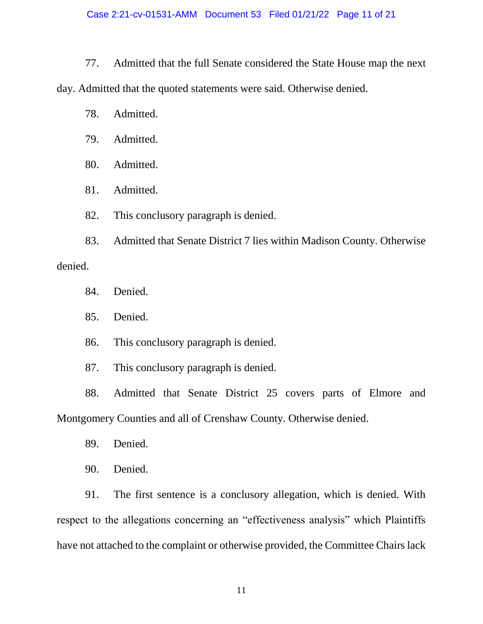77. Admitted that the full Senate considered the State House map the next day. Admitted that the quoted statements were said. Otherwise denied.

- 78. Admitted.
- 79. Admitted.
- 80. Admitted.
- 81. Admitted.
- 82. This conclusory paragraph is denied.

83. Admitted that Senate District 7 lies within Madison County. Otherwise denied.

- 84. Denied.
- 85. Denied.
- 86. This conclusory paragraph is denied.
- 87. This conclusory paragraph is denied.

88. Admitted that Senate District 25 covers parts of Elmore and Montgomery Counties and all of Crenshaw County. Otherwise denied.

- 89. Denied.
- 90. Denied.

91. The first sentence is a conclusory allegation, which is denied. With respect to the allegations concerning an "effectiveness analysis" which Plaintiffs have not attached to the complaint or otherwise provided, the Committee Chairs lack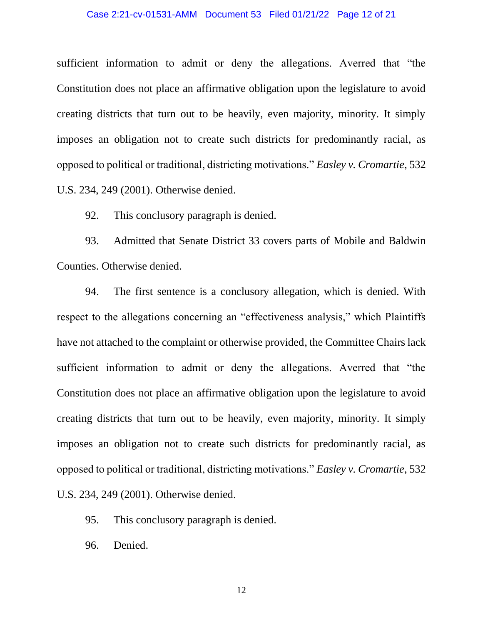#### Case 2:21-cv-01531-AMM Document 53 Filed 01/21/22 Page 12 of 21

sufficient information to admit or deny the allegations. Averred that "the Constitution does not place an affirmative obligation upon the legislature to avoid creating districts that turn out to be heavily, even majority, minority. It simply imposes an obligation not to create such districts for predominantly racial, as opposed to political or traditional, districting motivations." *Easley v. Cromartie*, 532 U.S. 234, 249 (2001). Otherwise denied.

92. This conclusory paragraph is denied.

93. Admitted that Senate District 33 covers parts of Mobile and Baldwin Counties. Otherwise denied.

94. The first sentence is a conclusory allegation, which is denied. With respect to the allegations concerning an "effectiveness analysis," which Plaintiffs have not attached to the complaint or otherwise provided, the Committee Chairs lack sufficient information to admit or deny the allegations. Averred that "the Constitution does not place an affirmative obligation upon the legislature to avoid creating districts that turn out to be heavily, even majority, minority. It simply imposes an obligation not to create such districts for predominantly racial, as opposed to political or traditional, districting motivations." *Easley v. Cromartie*, 532 U.S. 234, 249 (2001). Otherwise denied.

95. This conclusory paragraph is denied.

96. Denied.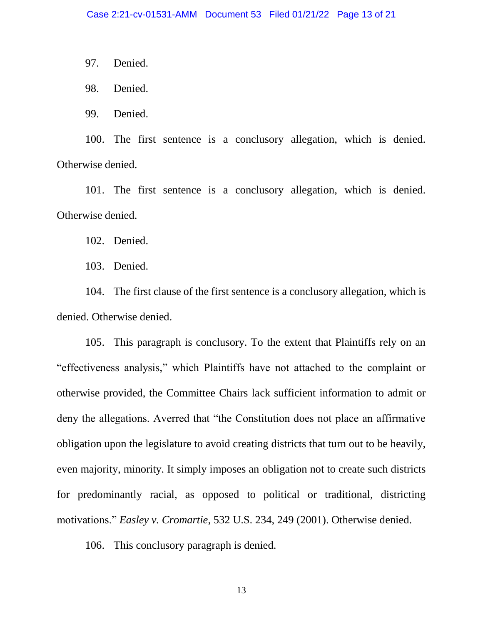97. Denied.

98. Denied.

99. Denied.

100. The first sentence is a conclusory allegation, which is denied. Otherwise denied.

101. The first sentence is a conclusory allegation, which is denied. Otherwise denied.

102. Denied.

103. Denied.

104. The first clause of the first sentence is a conclusory allegation, which is denied. Otherwise denied.

105. This paragraph is conclusory. To the extent that Plaintiffs rely on an "effectiveness analysis," which Plaintiffs have not attached to the complaint or otherwise provided, the Committee Chairs lack sufficient information to admit or deny the allegations. Averred that "the Constitution does not place an affirmative obligation upon the legislature to avoid creating districts that turn out to be heavily, even majority, minority. It simply imposes an obligation not to create such districts for predominantly racial, as opposed to political or traditional, districting motivations." *Easley v. Cromartie*, 532 U.S. 234, 249 (2001). Otherwise denied.

106. This conclusory paragraph is denied.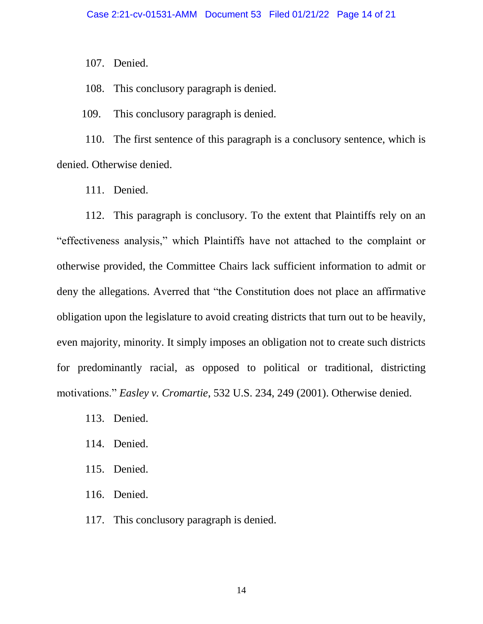107. Denied.

108. This conclusory paragraph is denied.

109. This conclusory paragraph is denied.

110. The first sentence of this paragraph is a conclusory sentence, which is denied. Otherwise denied.

111. Denied.

112. This paragraph is conclusory. To the extent that Plaintiffs rely on an "effectiveness analysis," which Plaintiffs have not attached to the complaint or otherwise provided, the Committee Chairs lack sufficient information to admit or deny the allegations. Averred that "the Constitution does not place an affirmative obligation upon the legislature to avoid creating districts that turn out to be heavily, even majority, minority. It simply imposes an obligation not to create such districts for predominantly racial, as opposed to political or traditional, districting motivations." *Easley v. Cromartie*, 532 U.S. 234, 249 (2001). Otherwise denied.

- 113. Denied.
- 114. Denied.
- 115. Denied.
- 116. Denied.
- 117. This conclusory paragraph is denied.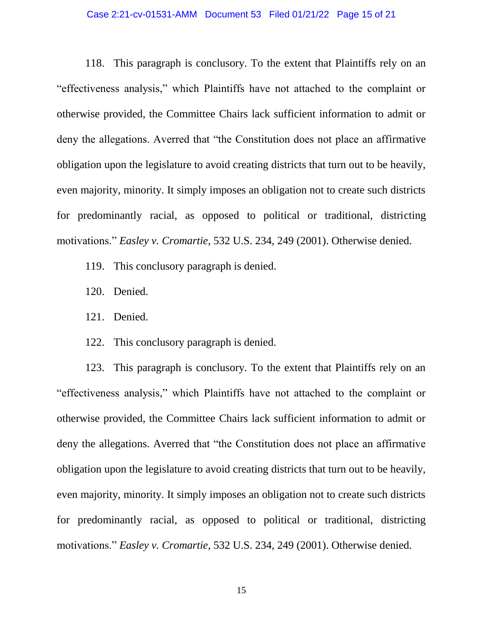#### Case 2:21-cv-01531-AMM Document 53 Filed 01/21/22 Page 15 of 21

118. This paragraph is conclusory. To the extent that Plaintiffs rely on an "effectiveness analysis," which Plaintiffs have not attached to the complaint or otherwise provided, the Committee Chairs lack sufficient information to admit or deny the allegations. Averred that "the Constitution does not place an affirmative obligation upon the legislature to avoid creating districts that turn out to be heavily, even majority, minority. It simply imposes an obligation not to create such districts for predominantly racial, as opposed to political or traditional, districting motivations." *Easley v. Cromartie*, 532 U.S. 234, 249 (2001). Otherwise denied.

- 119. This conclusory paragraph is denied.
- 120. Denied.
- 121. Denied.
- 122. This conclusory paragraph is denied.

123. This paragraph is conclusory. To the extent that Plaintiffs rely on an "effectiveness analysis," which Plaintiffs have not attached to the complaint or otherwise provided, the Committee Chairs lack sufficient information to admit or deny the allegations. Averred that "the Constitution does not place an affirmative obligation upon the legislature to avoid creating districts that turn out to be heavily, even majority, minority. It simply imposes an obligation not to create such districts for predominantly racial, as opposed to political or traditional, districting motivations." *Easley v. Cromartie*, 532 U.S. 234, 249 (2001). Otherwise denied.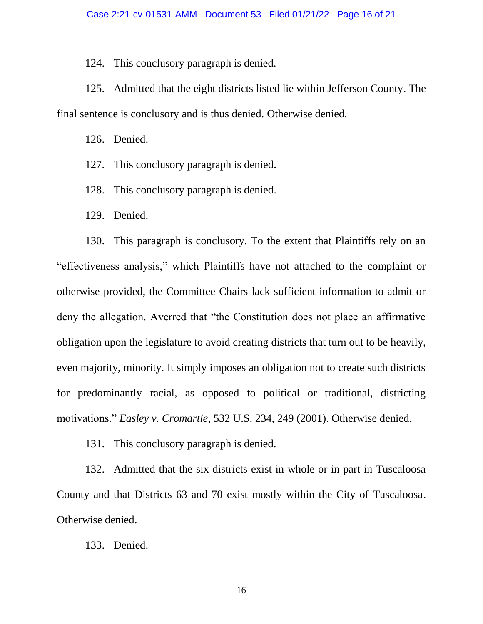124. This conclusory paragraph is denied.

125. Admitted that the eight districts listed lie within Jefferson County. The final sentence is conclusory and is thus denied. Otherwise denied.

126. Denied.

- 127. This conclusory paragraph is denied.
- 128. This conclusory paragraph is denied.
- 129. Denied.

130. This paragraph is conclusory. To the extent that Plaintiffs rely on an "effectiveness analysis," which Plaintiffs have not attached to the complaint or otherwise provided, the Committee Chairs lack sufficient information to admit or deny the allegation. Averred that "the Constitution does not place an affirmative obligation upon the legislature to avoid creating districts that turn out to be heavily, even majority, minority. It simply imposes an obligation not to create such districts for predominantly racial, as opposed to political or traditional, districting motivations." *Easley v. Cromartie*, 532 U.S. 234, 249 (2001). Otherwise denied.

131. This conclusory paragraph is denied.

132. Admitted that the six districts exist in whole or in part in Tuscaloosa County and that Districts 63 and 70 exist mostly within the City of Tuscaloosa. Otherwise denied.

133. Denied.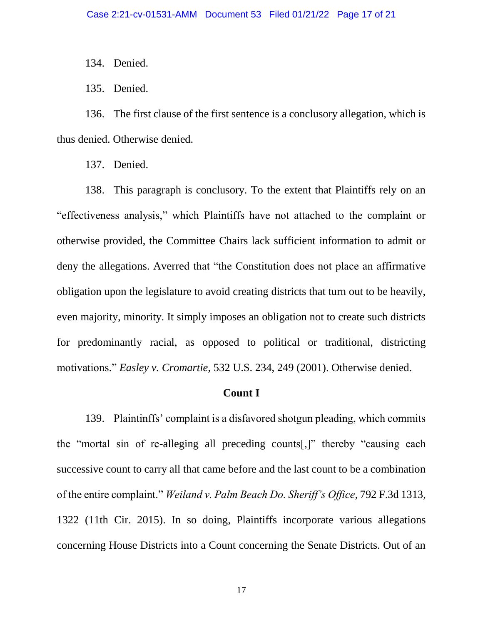134. Denied.

135. Denied.

136. The first clause of the first sentence is a conclusory allegation, which is thus denied. Otherwise denied.

137. Denied.

138. This paragraph is conclusory. To the extent that Plaintiffs rely on an "effectiveness analysis," which Plaintiffs have not attached to the complaint or otherwise provided, the Committee Chairs lack sufficient information to admit or deny the allegations. Averred that "the Constitution does not place an affirmative obligation upon the legislature to avoid creating districts that turn out to be heavily, even majority, minority. It simply imposes an obligation not to create such districts for predominantly racial, as opposed to political or traditional, districting motivations." *Easley v. Cromartie*, 532 U.S. 234, 249 (2001). Otherwise denied.

## **Count I**

139. Plaintinffs' complaint is a disfavored shotgun pleading, which commits the "mortal sin of re-alleging all preceding counts[,]" thereby "causing each successive count to carry all that came before and the last count to be a combination of the entire complaint." *Weiland v. Palm Beach Do. Sheriff's Office*, 792 F.3d 1313, 1322 (11th Cir. 2015). In so doing, Plaintiffs incorporate various allegations concerning House Districts into a Count concerning the Senate Districts. Out of an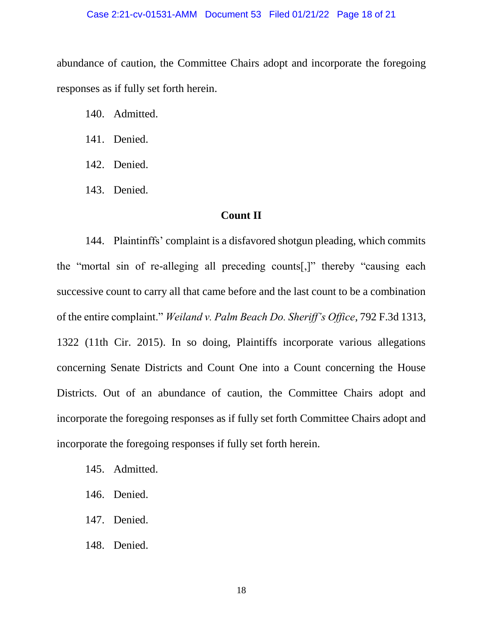#### Case 2:21-cv-01531-AMM Document 53 Filed 01/21/22 Page 18 of 21

abundance of caution, the Committee Chairs adopt and incorporate the foregoing responses as if fully set forth herein.

- 140. Admitted.
- 141. Denied.
- 142. Denied.
- 143. Denied.

## **Count II**

144. Plaintinffs' complaint is a disfavored shotgun pleading, which commits the "mortal sin of re-alleging all preceding counts[,]" thereby "causing each successive count to carry all that came before and the last count to be a combination of the entire complaint." *Weiland v. Palm Beach Do. Sheriff's Office*, 792 F.3d 1313, 1322 (11th Cir. 2015). In so doing, Plaintiffs incorporate various allegations concerning Senate Districts and Count One into a Count concerning the House Districts. Out of an abundance of caution, the Committee Chairs adopt and incorporate the foregoing responses as if fully set forth Committee Chairs adopt and incorporate the foregoing responses if fully set forth herein.

- 145. Admitted.
- 146. Denied.
- 147. Denied.
- 148. Denied.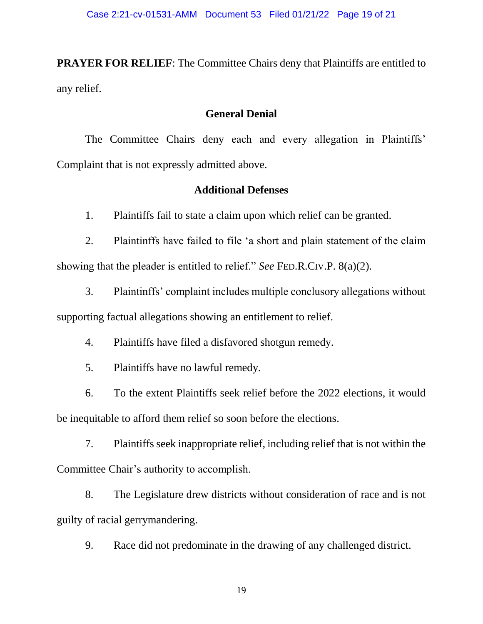**PRAYER FOR RELIEF:** The Committee Chairs deny that Plaintiffs are entitled to any relief.

## **General Denial**

The Committee Chairs deny each and every allegation in Plaintiffs' Complaint that is not expressly admitted above.

## **Additional Defenses**

1. Plaintiffs fail to state a claim upon which relief can be granted.

2. Plaintinffs have failed to file 'a short and plain statement of the claim showing that the pleader is entitled to relief." *See* FED.R.CIV.P. 8(a)(2).

3. Plaintinffs' complaint includes multiple conclusory allegations without supporting factual allegations showing an entitlement to relief.

4. Plaintiffs have filed a disfavored shotgun remedy.

5. Plaintiffs have no lawful remedy.

6. To the extent Plaintiffs seek relief before the 2022 elections, it would be inequitable to afford them relief so soon before the elections.

7. Plaintiffs seek inappropriate relief, including relief that is not within the Committee Chair's authority to accomplish.

8. The Legislature drew districts without consideration of race and is not guilty of racial gerrymandering.

9. Race did not predominate in the drawing of any challenged district.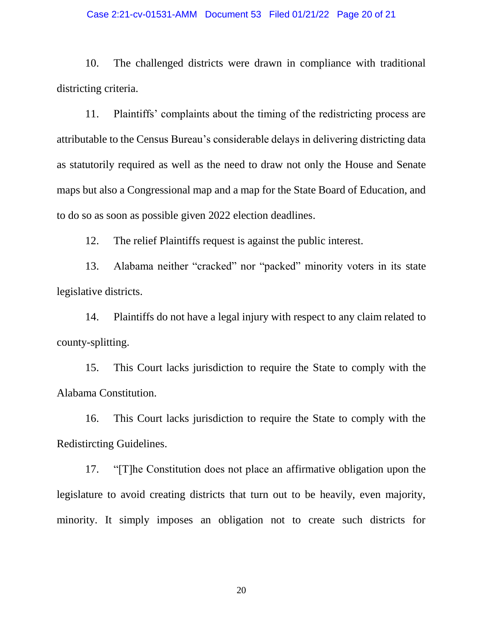#### Case 2:21-cv-01531-AMM Document 53 Filed 01/21/22 Page 20 of 21

10. The challenged districts were drawn in compliance with traditional districting criteria.

11. Plaintiffs' complaints about the timing of the redistricting process are attributable to the Census Bureau's considerable delays in delivering districting data as statutorily required as well as the need to draw not only the House and Senate maps but also a Congressional map and a map for the State Board of Education, and to do so as soon as possible given 2022 election deadlines.

12. The relief Plaintiffs request is against the public interest.

13. Alabama neither "cracked" nor "packed" minority voters in its state legislative districts.

14. Plaintiffs do not have a legal injury with respect to any claim related to county-splitting.

15. This Court lacks jurisdiction to require the State to comply with the Alabama Constitution.

16. This Court lacks jurisdiction to require the State to comply with the Redistircting Guidelines.

17. "[T]he Constitution does not place an affirmative obligation upon the legislature to avoid creating districts that turn out to be heavily, even majority, minority. It simply imposes an obligation not to create such districts for